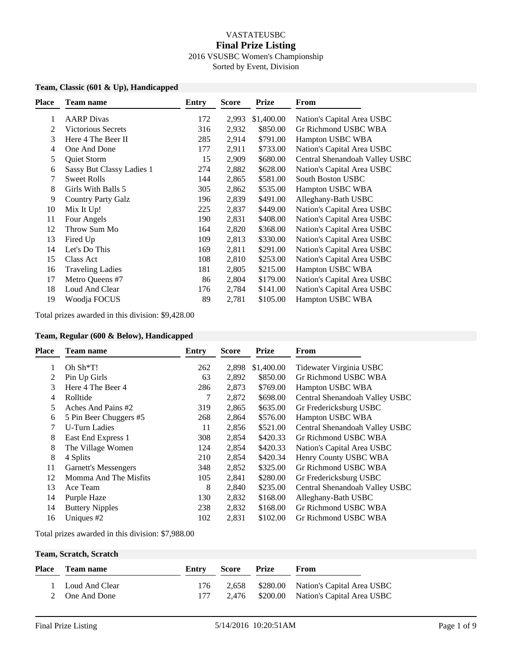## VASTATEUSBC **Final Prize Listing** 2016 VSUSBC Women's Championship Sorted by Event, Division

## **Team, Classic (601 & Up), Handicapped**

| <b>Place</b> | <b>Team name</b>          | Entry | Score | <b>Prize</b> | From                           |
|--------------|---------------------------|-------|-------|--------------|--------------------------------|
| 1            | <b>AARP</b> Divas         | 172   | 2,993 | \$1,400.00   | Nation's Capital Area USBC     |
| 2            | <b>Victorious Secrets</b> | 316   | 2,932 | \$850.00     | Gr Richmond USBC WBA           |
| 3            | Here 4 The Beer II        | 285   | 2,914 | \$791.00     | Hampton USBC WBA               |
| 4            | One And Done              | 177   | 2,911 | \$733.00     | Nation's Capital Area USBC     |
| 5            | Quiet Storm               | 15    | 2,909 | \$680.00     | Central Shenandoah Valley USBC |
| 6            | Sassy But Classy Ladies 1 | 274   | 2,882 | \$628.00     | Nation's Capital Area USBC     |
| 7            | <b>Sweet Rolls</b>        | 144   | 2,865 | \$581.00     | <b>South Boston USBC</b>       |
| 8            | Girls With Balls 5        | 305   | 2,862 | \$535.00     | Hampton USBC WBA               |
| 9            | <b>Country Party Galz</b> | 196   | 2,839 | \$491.00     | Alleghany-Bath USBC            |
| 10           | Mix It Up!                | 225   | 2,837 | \$449.00     | Nation's Capital Area USBC     |
| 11           | Four Angels               | 190   | 2,831 | \$408.00     | Nation's Capital Area USBC     |
| 12           | Throw Sum Mo              | 164   | 2,820 | \$368.00     | Nation's Capital Area USBC     |
| 13           | Fired Up                  | 109   | 2,813 | \$330.00     | Nation's Capital Area USBC     |
| 14           | Let's Do This             | 169   | 2,811 | \$291.00     | Nation's Capital Area USBC     |
| 15           | Class Act                 | 108   | 2,810 | \$253.00     | Nation's Capital Area USBC     |
| 16           | <b>Traveling Ladies</b>   | 181   | 2,805 | \$215.00     | Hampton USBC WBA               |
| 17           | Metro Queens #7           | 86    | 2,804 | \$179.00     | Nation's Capital Area USBC     |
| 18           | Loud And Clear            | 176   | 2,784 | \$141.00     | Nation's Capital Area USBC     |
| 19           | Woodja FOCUS              | 89    | 2,781 | \$105.00     | Hampton USBC WBA               |
|              |                           |       |       |              |                                |

Total prizes awarded in this division: \$9,428.00

#### **Team, Regular (600 & Below), Handicapped**

| <b>Place</b> | Team name                   | Entry | <b>Score</b> | <b>Prize</b> | From                           |
|--------------|-----------------------------|-------|--------------|--------------|--------------------------------|
|              | Oh $\rm Sh*T!$              | 262   | 2,898        | \$1,400.00   | Tidewater Virginia USBC        |
|              | Pin Up Girls                | 63    | 2,892        | \$850.00     | Gr Richmond USBC WBA           |
| 3            | Here 4 The Beer 4           | 286   | 2,873        | \$769.00     | Hampton USBC WBA               |
| 4            | Rolltide                    | 7     | 2,872        | \$698.00     | Central Shenandoah Valley USBC |
| 5.           | Aches And Pains #2          | 319   | 2,865        | \$635.00     | Gr Fredericksburg USBC         |
| 6            | 5 Pin Beer Chuggers #5      | 268   | 2,864        | \$576.00     | Hampton USBC WBA               |
| 7            | <b>U-Turn Ladies</b>        | 11    | 2,856        | \$521.00     | Central Shenandoah Valley USBC |
| 8            | East End Express 1          | 308   | 2,854        | \$420.33     | Gr Richmond USBC WBA           |
| 8            | The Village Women           | 124   | 2,854        | \$420.33     | Nation's Capital Area USBC     |
| 8            | 4 Splits                    | 210   | 2,854        | \$420.34     | Henry County USBC WBA          |
| 11           | <b>Garnett's Messengers</b> | 348   | 2,852        | \$325.00     | Gr Richmond USBC WBA           |
| 12           | Momma And The Misfits       | 105   | 2,841        | \$280.00     | Gr Fredericksburg USBC         |
| 13           | Ace Team                    | 8     | 2,840        | \$235.00     | Central Shenandoah Valley USBC |
| 14           | Purple Haze                 | 130   | 2,832        | \$168.00     | Alleghany-Bath USBC            |
| 14           | <b>Buttery Nipples</b>      | 238   | 2,832        | \$168.00     | Gr Richmond USBC WBA           |
| 16           | Uniques $#2$                | 102   | 2,831        | \$102.00     | Gr Richmond USBC WBA           |

Total prizes awarded in this division: \$7,988.00

#### **Team, Scratch, Scratch**

| Place Team name  |     | Entry Score Prize | <b>From</b>                               |
|------------------|-----|-------------------|-------------------------------------------|
| 1 Loud And Clear | 176 |                   | 2,658 \$280.00 Nation's Capital Area USBC |
| 2 One And Done   |     |                   | 2,476 \$200.00 Nation's Capital Area USBC |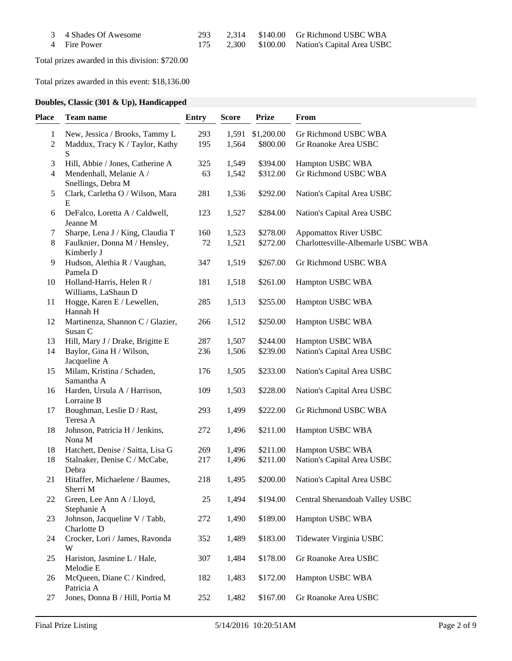| 3 4 Shades Of Awesome | 293 |  | 2.314 \$140.00 Gr Richmond USBC WBA           |
|-----------------------|-----|--|-----------------------------------------------|
| 4 Fire Power          |     |  | 175 2,300 \$100.00 Nation's Capital Area USBC |

Total prizes awarded in this division: \$720.00

Total prizes awarded in this event: \$18,136.00

# **Doubles, Classic (301 & Up), Handicapped**

| Place             | <b>Team name</b>                                                       | <b>Entry</b> | <b>Score</b>   | <b>Prize</b>           | From                                         |
|-------------------|------------------------------------------------------------------------|--------------|----------------|------------------------|----------------------------------------------|
| $\mathbf{1}$<br>2 | New, Jessica / Brooks, Tammy L<br>Maddux, Tracy K / Taylor, Kathy<br>S | 293<br>195   | 1,591<br>1,564 | \$1,200.00<br>\$800.00 | Gr Richmond USBC WBA<br>Gr Roanoke Area USBC |
| 3                 | Hill, Abbie / Jones, Catherine A                                       | 325          | 1,549          | \$394.00               | Hampton USBC WBA                             |
| $\overline{4}$    | Mendenhall, Melanie A /<br>Snellings, Debra M                          | 63           | 1,542          | \$312.00               | Gr Richmond USBC WBA                         |
| 5                 | Clark, Carletha O / Wilson, Mara<br>E                                  | 281          | 1,536          | \$292.00               | Nation's Capital Area USBC                   |
| 6                 | DeFalco, Loretta A / Caldwell,<br>Jeanne M                             | 123          | 1,527          | \$284.00               | Nation's Capital Area USBC                   |
| 7                 | Sharpe, Lena J / King, Claudia T                                       | 160          | 1,523          | \$278.00               | <b>Appomattox River USBC</b>                 |
| 8                 | Faulknier, Donna M / Hensley,<br>Kimberly J                            | 72           | 1,521          | \$272.00               | Charlottesville-Albemarle USBC WBA           |
| 9                 | Hudson, Alethia R / Vaughan,<br>Pamela D                               | 347          | 1,519          | \$267.00               | Gr Richmond USBC WBA                         |
| 10                | Holland-Harris, Helen R /<br>Williams, LaShaun D                       | 181          | 1,518          | \$261.00               | Hampton USBC WBA                             |
| 11                | Hogge, Karen E / Lewellen,<br>Hannah H                                 | 285          | 1,513          | \$255.00               | Hampton USBC WBA                             |
| 12                | Martinenza, Shannon C / Glazier,<br>Susan C                            | 266          | 1,512          | \$250.00               | Hampton USBC WBA                             |
| 13                | Hill, Mary J / Drake, Brigitte E                                       | 287          | 1,507          | \$244.00               | Hampton USBC WBA                             |
| 14                | Baylor, Gina H / Wilson,<br>Jacqueline A                               | 236          | 1,506          | \$239.00               | Nation's Capital Area USBC                   |
| 15                | Milam, Kristina / Schaden,<br>Samantha A                               | 176          | 1,505          | \$233.00               | Nation's Capital Area USBC                   |
| 16                | Harden, Ursula A / Harrison,<br>Lorraine B                             | 109          | 1,503          | \$228.00               | Nation's Capital Area USBC                   |
| 17                | Boughman, Leslie D / Rast,<br>Teresa A                                 | 293          | 1,499          | \$222.00               | Gr Richmond USBC WBA                         |
| 18                | Johnson, Patricia H / Jenkins,<br>Nona M                               | 272          | 1,496          | \$211.00               | Hampton USBC WBA                             |
| 18                | Hatchett, Denise / Saitta, Lisa G                                      | 269          | 1,496          | \$211.00               | Hampton USBC WBA                             |
| 18                | Stalnaker, Denise C / McCabe,<br>Debra                                 | 217          | 1,496          | \$211.00               | Nation's Capital Area USBC                   |
| 21                | Hitaffer, Michaelene / Baumes,<br>Sherri M                             | 218          | 1,495          | \$200.00               | Nation's Capital Area USBC                   |
| 22                | Green, Lee Ann A / Lloyd,<br>Stephanie A                               | 25           | 1,494          | \$194.00               | Central Shenandoah Valley USBC               |
| 23                | Johnson, Jacqueline V / Tabb,<br>Charlotte D                           | 272          | 1,490          | \$189.00               | Hampton USBC WBA                             |
| 24                | Crocker, Lori / James, Ravonda<br>W                                    | 352          | 1,489          | \$183.00               | Tidewater Virginia USBC                      |
| 25                | Hariston, Jasmine L / Hale,<br>Melodie E                               | 307          | 1,484          | \$178.00               | Gr Roanoke Area USBC                         |
| 26                | McQueen, Diane C / Kindred,<br>Patricia A                              | 182          | 1,483          | \$172.00               | Hampton USBC WBA                             |
| 27                | Jones, Donna B / Hill, Portia M                                        | 252          | 1,482          | \$167.00               | Gr Roanoke Area USBC                         |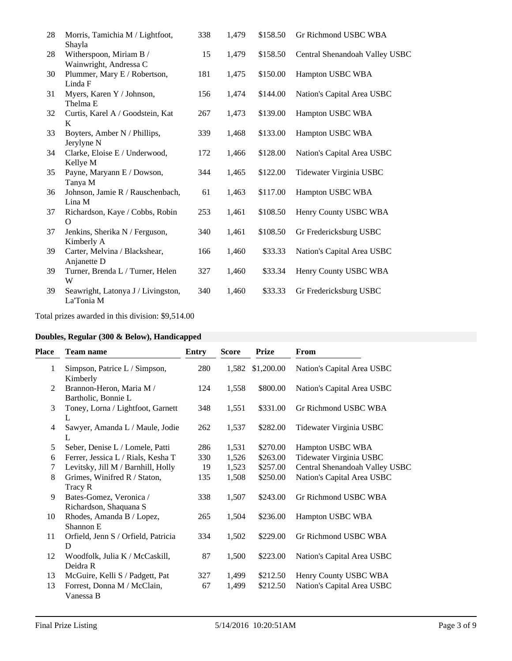| 28 | Morris, Tamichia M / Lightfoot,    | 338 | 1,479 | \$158.50 | Gr Richmond USBC WBA           |
|----|------------------------------------|-----|-------|----------|--------------------------------|
|    | Shayla                             |     |       |          |                                |
| 28 | Witherspoon, Miriam B /            | 15  | 1,479 | \$158.50 | Central Shenandoah Valley USBC |
|    | Wainwright, Andressa C             |     |       |          |                                |
| 30 | Plummer, Mary E / Robertson,       | 181 | 1,475 | \$150.00 | Hampton USBC WBA               |
|    | Linda F                            |     |       |          |                                |
| 31 | Myers, Karen Y / Johnson,          | 156 | 1,474 | \$144.00 | Nation's Capital Area USBC     |
|    | Thelma <sub>E</sub>                |     |       |          |                                |
| 32 | Curtis, Karel A / Goodstein, Kat   | 267 | 1,473 | \$139.00 | Hampton USBC WBA               |
|    | K                                  |     |       |          |                                |
| 33 | Boyters, Amber N / Phillips,       | 339 | 1,468 | \$133.00 | Hampton USBC WBA               |
|    | Jerylyne N                         |     |       |          |                                |
| 34 | Clarke, Eloise E / Underwood,      | 172 | 1,466 | \$128.00 | Nation's Capital Area USBC     |
|    | Kellye M                           |     |       |          |                                |
| 35 | Payne, Maryann E / Dowson,         | 344 | 1,465 | \$122.00 | Tidewater Virginia USBC        |
|    | Tanya M                            |     |       |          |                                |
| 36 | Johnson, Jamie R / Rauschenbach,   | 61  | 1,463 | \$117.00 | Hampton USBC WBA               |
|    | Lina M                             |     |       |          |                                |
| 37 | Richardson, Kaye / Cobbs, Robin    | 253 | 1,461 | \$108.50 | Henry County USBC WBA          |
|    | $\Omega$                           |     |       |          |                                |
| 37 | Jenkins, Sherika N / Ferguson,     | 340 | 1,461 | \$108.50 | Gr Fredericksburg USBC         |
|    | Kimberly A                         |     |       |          |                                |
| 39 | Carter, Melvina / Blackshear,      | 166 | 1,460 | \$33.33  | Nation's Capital Area USBC     |
|    | Anjanette D                        |     |       |          |                                |
| 39 | Turner, Brenda L / Turner, Helen   | 327 | 1,460 | \$33.34  | Henry County USBC WBA          |
|    | W                                  |     |       |          |                                |
| 39 | Seawright, Latonya J / Livingston, | 340 | 1,460 | \$33.33  | Gr Fredericksburg USBC         |
|    | La'Tonia M                         |     |       |          |                                |
|    |                                    |     |       |          |                                |

Total prizes awarded in this division: \$9,514.00

# **Doubles, Regular (300 & Below), Handicapped**

| Place          | <b>Team name</b>                                  | <b>Entry</b> | <b>Score</b> | <b>Prize</b> | From                           |
|----------------|---------------------------------------------------|--------------|--------------|--------------|--------------------------------|
| 1              | Simpson, Patrice L / Simpson,<br>Kimberly         | 280          | 1,582        | \$1,200.00   | Nation's Capital Area USBC     |
| 2              | Brannon-Heron, Maria M /<br>Bartholic, Bonnie L   | 124          | 1,558        | \$800.00     | Nation's Capital Area USBC     |
| 3              | Toney, Lorna / Lightfoot, Garnett<br>L            | 348          | 1,551        | \$331.00     | Gr Richmond USBC WBA           |
| $\overline{4}$ | Sawyer, Amanda L / Maule, Jodie<br>L              | 262          | 1,537        | \$282.00     | Tidewater Virginia USBC        |
| 5              | Seber, Denise L / Lomele, Patti                   | 286          | 1,531        | \$270.00     | Hampton USBC WBA               |
| 6              | Ferrer, Jessica L / Rials, Kesha T                | 330          | 1,526        | \$263.00     | Tidewater Virginia USBC        |
| 7              | Levitsky, Jill M / Barnhill, Holly                | 19           | 1,523        | \$257.00     | Central Shenandoah Valley USBC |
| 8              | Grimes, Winifred R / Staton,<br>Tracy R           | 135          | 1,508        | \$250.00     | Nation's Capital Area USBC     |
| 9              | Bates-Gomez, Veronica /<br>Richardson, Shaquana S | 338          | 1,507        | \$243.00     | Gr Richmond USBC WBA           |
| 10             | Rhodes, Amanda B / Lopez,<br>Shannon E            | 265          | 1,504        | \$236.00     | Hampton USBC WBA               |
| 11             | Orfield, Jenn S / Orfield, Patricia<br>D          | 334          | 1,502        | \$229.00     | Gr Richmond USBC WBA           |
| 12             | Woodfolk, Julia K / McCaskill,<br>Deidra R        | 87           | 1,500        | \$223.00     | Nation's Capital Area USBC     |
| 13             | McGuire, Kelli S / Padgett, Pat                   | 327          | 1,499        | \$212.50     | Henry County USBC WBA          |
| 13             | Forrest, Donna M / McClain,<br>Vanessa B          | 67           | 1,499        | \$212.50     | Nation's Capital Area USBC     |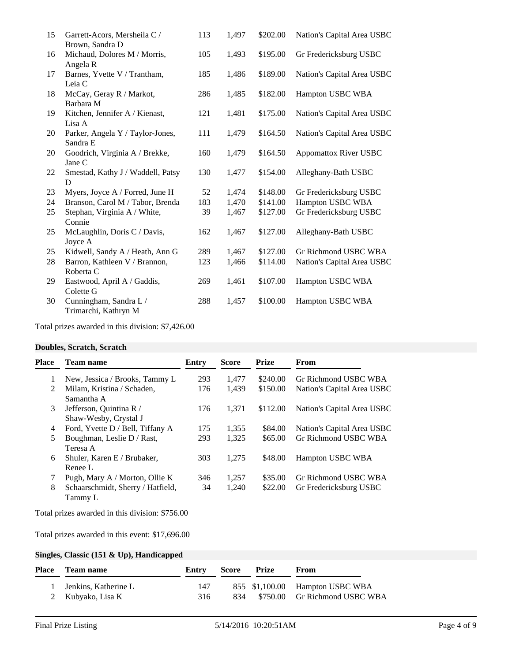| 15 | Garrett-Acors, Mersheila C /<br>Brown, Sandra D | 113 | 1,497 | \$202.00 | Nation's Capital Area USBC   |
|----|-------------------------------------------------|-----|-------|----------|------------------------------|
| 16 | Michaud, Dolores M / Morris,<br>Angela R        | 105 | 1,493 | \$195.00 | Gr Fredericksburg USBC       |
| 17 | Barnes, Yvette V / Trantham,<br>Leia C          | 185 | 1,486 | \$189.00 | Nation's Capital Area USBC   |
| 18 | McCay, Geray R / Markot,<br>Barbara M           | 286 | 1,485 | \$182.00 | Hampton USBC WBA             |
| 19 | Kitchen, Jennifer A / Kienast,<br>Lisa A        | 121 | 1,481 | \$175.00 | Nation's Capital Area USBC   |
| 20 | Parker, Angela Y / Taylor-Jones,<br>Sandra E    | 111 | 1,479 | \$164.50 | Nation's Capital Area USBC   |
| 20 | Goodrich, Virginia A / Brekke,<br>Jane C        | 160 | 1,479 | \$164.50 | <b>Appomattox River USBC</b> |
| 22 | Smestad, Kathy J / Waddell, Patsy<br>D          | 130 | 1,477 | \$154.00 | Alleghany-Bath USBC          |
| 23 | Myers, Joyce A / Forred, June H                 | 52  | 1,474 | \$148.00 | Gr Fredericksburg USBC       |
| 24 | Branson, Carol M / Tabor, Brenda                | 183 | 1,470 | \$141.00 | Hampton USBC WBA             |
| 25 | Stephan, Virginia A / White,<br>Connie          | 39  | 1,467 | \$127.00 | Gr Fredericksburg USBC       |
| 25 | McLaughlin, Doris C / Davis,<br>Joyce A         | 162 | 1,467 | \$127.00 | Alleghany-Bath USBC          |
| 25 | Kidwell, Sandy A / Heath, Ann G                 | 289 | 1,467 | \$127.00 | Gr Richmond USBC WBA         |
| 28 | Barron, Kathleen V / Brannon,<br>Roberta C      | 123 | 1,466 | \$114.00 | Nation's Capital Area USBC   |
| 29 | Eastwood, April A / Gaddis,<br>Colette G        | 269 | 1,461 | \$107.00 | Hampton USBC WBA             |
| 30 | Cunningham, Sandra L /<br>Trimarchi, Kathryn M  | 288 | 1,457 | \$100.00 | Hampton USBC WBA             |

Total prizes awarded in this division: \$7,426.00

#### **Doubles, Scratch, Scratch**

| <b>Place</b> | Team name                                        | Entry | <b>Score</b> | <b>Prize</b> | From                       |
|--------------|--------------------------------------------------|-------|--------------|--------------|----------------------------|
| 1            | New, Jessica / Brooks, Tammy L                   | 293   | 1.477        | \$240.00     | Gr Richmond USBC WBA       |
| 2            | Milam, Kristina / Schaden,<br>Samantha A         | 176   | 1,439        | \$150.00     | Nation's Capital Area USBC |
| 3            | Jefferson, Quintina R /<br>Shaw-Wesby, Crystal J | 176   | 1,371        | \$112.00     | Nation's Capital Area USBC |
| 4            | Ford, Yvette D / Bell, Tiffany A                 | 175   | 1,355        | \$84.00      | Nation's Capital Area USBC |
| 5            | Boughman, Leslie D / Rast,<br>Teresa A           | 293   | 1,325        | \$65.00      | Gr Richmond USBC WBA       |
| 6            | Shuler, Karen E / Brubaker,<br>Renee L           | 303   | 1,275        | \$48.00      | <b>Hampton USBC WBA</b>    |
| 7            | Pugh, Mary A / Morton, Ollie K                   | 346   | 1,257        | \$35.00      | Gr Richmond USBC WBA       |
| 8            | Schaarschmidt, Sherry / Hatfield,<br>Tammy L     | 34    | 1,240        | \$22.00      | Gr Fredericksburg USBC     |

Total prizes awarded in this division: \$756.00

Total prizes awarded in this event: \$17,696.00

## **Singles, Classic (151 & Up), Handicapped**

| Place Team name        | Entry | <b>Score Prize</b> | From                              |
|------------------------|-------|--------------------|-----------------------------------|
| 1 Jenkins, Katherine L | 147   |                    | 855 \$1,100.00 Hampton USBC WBA   |
| 2 Kubyako, Lisa K      | 316   |                    | 834 \$750.00 Gr Richmond USBC WBA |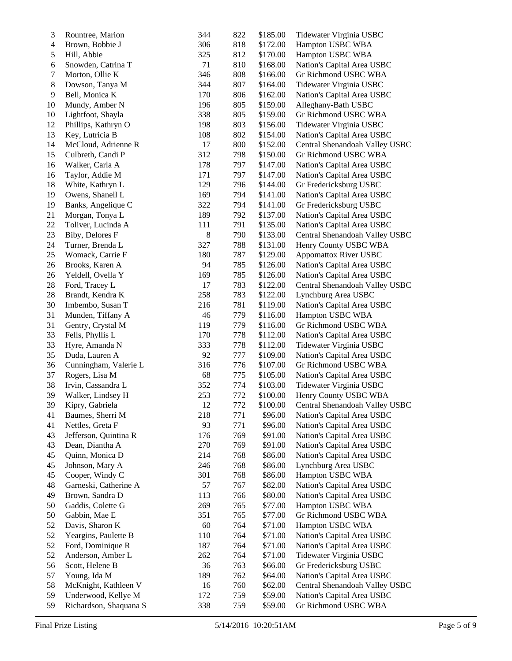| $\mathfrak 3$            | Rountree, Marion       | 344    | 822 | \$185.00 | Tidewater Virginia USBC        |
|--------------------------|------------------------|--------|-----|----------|--------------------------------|
| $\overline{\mathcal{A}}$ | Brown, Bobbie J        | 306    | 818 | \$172.00 | Hampton USBC WBA               |
| 5                        | Hill, Abbie            | 325    | 812 | \$170.00 | Hampton USBC WBA               |
| 6                        | Snowden, Catrina T     | 71     | 810 | \$168.00 | Nation's Capital Area USBC     |
| 7                        | Morton, Ollie K        | 346    | 808 | \$166.00 | Gr Richmond USBC WBA           |
| $\,8$                    | Dowson, Tanya M        | 344    | 807 | \$164.00 | Tidewater Virginia USBC        |
| 9                        | Bell, Monica K         | 170    | 806 | \$162.00 | Nation's Capital Area USBC     |
| 10                       | Mundy, Amber N         | 196    | 805 | \$159.00 | Alleghany-Bath USBC            |
| 10                       | Lightfoot, Shayla      | 338    | 805 | \$159.00 | Gr Richmond USBC WBA           |
| 12                       | Phillips, Kathryn O    | 198    | 803 | \$156.00 | Tidewater Virginia USBC        |
| 13                       | Key, Lutricia B        | 108    | 802 | \$154.00 | Nation's Capital Area USBC     |
| 14                       | McCloud, Adrienne R    | 17     | 800 | \$152.00 | Central Shenandoah Valley USBC |
| 15                       | Culbreth, Candi P      | 312    | 798 | \$150.00 | Gr Richmond USBC WBA           |
| 16                       | Walker, Carla A        | 178    | 797 | \$147.00 | Nation's Capital Area USBC     |
| 16                       | Taylor, Addie M        | 171    | 797 | \$147.00 | Nation's Capital Area USBC     |
| 18                       | White, Kathryn L       | 129    | 796 | \$144.00 | Gr Fredericksburg USBC         |
| 19                       | Owens, Shanell L       | 169    | 794 | \$141.00 | Nation's Capital Area USBC     |
| 19                       | Banks, Angelique C     | 322    | 794 | \$141.00 | Gr Fredericksburg USBC         |
| 21                       | Morgan, Tonya L        | 189    | 792 | \$137.00 | Nation's Capital Area USBC     |
| 22                       | Toliver, Lucinda A     | 111    | 791 | \$135.00 | Nation's Capital Area USBC     |
| 23                       | Biby, Delores F        | $8\,$  | 790 | \$133.00 | Central Shenandoah Valley USBC |
| 24                       | Turner, Brenda L       | 327    | 788 | \$131.00 | Henry County USBC WBA          |
| 25                       | Womack, Carrie F       | 180    | 787 | \$129.00 | <b>Appomattox River USBC</b>   |
| 26                       | Brooks, Karen A        | 94     | 785 | \$126.00 | Nation's Capital Area USBC     |
| 26                       | Yeldell, Ovella Y      | 169    | 785 | \$126.00 | Nation's Capital Area USBC     |
| 28                       | Ford, Tracey L         | 17     | 783 | \$122.00 | Central Shenandoah Valley USBC |
| 28                       | Brandt, Kendra K       | 258    | 783 | \$122.00 | Lynchburg Area USBC            |
| 30                       | Imbembo, Susan T       | 216    | 781 | \$119.00 | Nation's Capital Area USBC     |
| 31                       | Munden, Tiffany A      | 46     | 779 | \$116.00 | Hampton USBC WBA               |
| 31                       | Gentry, Crystal M      | 119    | 779 | \$116.00 | Gr Richmond USBC WBA           |
| 33                       | Fells, Phyllis L       | 170    | 778 | \$112.00 | Nation's Capital Area USBC     |
| 33                       | Hyre, Amanda N         | 333    | 778 | \$112.00 | Tidewater Virginia USBC        |
| 35                       | Duda, Lauren A         | 92     | 777 | \$109.00 | Nation's Capital Area USBC     |
| 36                       | Cunningham, Valerie L  | 316    | 776 | \$107.00 | Gr Richmond USBC WBA           |
| 37                       | Rogers, Lisa M         | 68     | 775 | \$105.00 | Nation's Capital Area USBC     |
| 38                       | Irvin, Cassandra L     | 352    | 774 | \$103.00 | Tidewater Virginia USBC        |
| 39                       | Walker, Lindsey H      | 253    | 772 | \$100.00 | Henry County USBC WBA          |
| 39                       | Kipry, Gabriela        | 12     | 772 | \$100.00 | Central Shenandoah Valley USBC |
| 41                       | Baumes, Sherri M       | 218    | 771 | \$96.00  | Nation's Capital Area USBC     |
| 41                       | Nettles, Greta F       | 93     | 771 | \$96.00  | Nation's Capital Area USBC     |
| 43                       | Jefferson, Quintina R  | 176    | 769 | \$91.00  | Nation's Capital Area USBC     |
| 43                       | Dean, Diantha A        | 270    | 769 | \$91.00  | Nation's Capital Area USBC     |
| 45                       | Quinn, Monica D        | 214    | 768 | \$86.00  | Nation's Capital Area USBC     |
| 45                       | Johnson, Mary A        | 246    | 768 | \$86.00  | Lynchburg Area USBC            |
| 45                       | Cooper, Windy C        | 301    | 768 | \$86.00  | Hampton USBC WBA               |
| 48                       | Garneski, Catherine A  | 57     | 767 | \$82.00  | Nation's Capital Area USBC     |
| 49                       | Brown, Sandra D        | 113    | 766 | \$80.00  | Nation's Capital Area USBC     |
| 50                       | Gaddis, Colette G      | 269    | 765 | \$77.00  | Hampton USBC WBA               |
| 50                       | Gabbin, Mae E          | 351    | 765 | \$77.00  | Gr Richmond USBC WBA           |
| 52                       | Davis, Sharon K        | $60\,$ | 764 | \$71.00  | Hampton USBC WBA               |
| 52                       | Yeargins, Paulette B   | 110    | 764 | \$71.00  | Nation's Capital Area USBC     |
| 52                       | Ford, Dominique R      | 187    | 764 | \$71.00  | Nation's Capital Area USBC     |
| 52                       | Anderson, Amber L      | 262    | 764 | \$71.00  | Tidewater Virginia USBC        |
| 56                       | Scott, Helene B        | 36     | 763 | \$66.00  | Gr Fredericksburg USBC         |
| 57                       | Young, Ida M           | 189    | 762 | \$64.00  | Nation's Capital Area USBC     |
| 58                       | McKnight, Kathleen V   | 16     | 760 | \$62.00  | Central Shenandoah Valley USBC |
| 59                       | Underwood, Kellye M    | 172    | 759 | \$59.00  | Nation's Capital Area USBC     |
| 59                       | Richardson, Shaquana S | 338    | 759 | \$59.00  | Gr Richmond USBC WBA           |
|                          |                        |        |     |          |                                |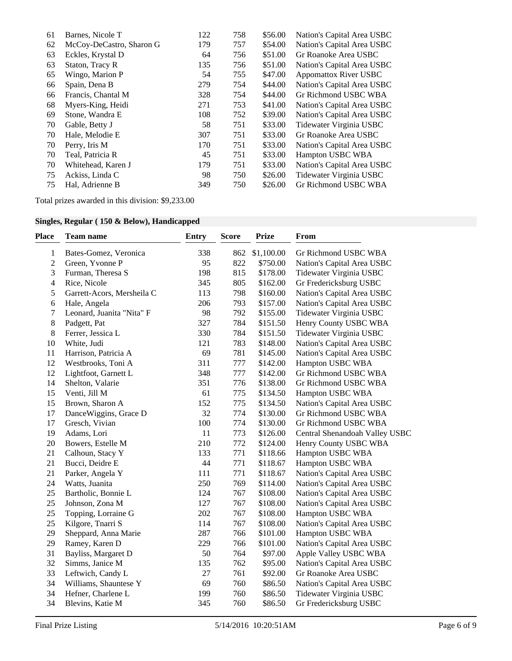| 61 | Barnes, Nicole T         | 122 | 758 | \$56.00 | Nation's Capital Area USBC   |
|----|--------------------------|-----|-----|---------|------------------------------|
| 62 | McCoy-DeCastro, Sharon G | 179 | 757 | \$54.00 | Nation's Capital Area USBC   |
| 63 | Eckles, Krystal D        | 64  | 756 | \$51.00 | Gr Roanoke Area USBC         |
| 63 | Staton, Tracy R          | 135 | 756 | \$51.00 | Nation's Capital Area USBC   |
| 65 | Wingo, Marion P          | 54  | 755 | \$47.00 | <b>Appomattox River USBC</b> |
| 66 | Spain, Dena B            | 279 | 754 | \$44.00 | Nation's Capital Area USBC   |
| 66 | Francis, Chantal M       | 328 | 754 | \$44.00 | Gr Richmond USBC WBA         |
| 68 | Myers-King, Heidi        | 271 | 753 | \$41.00 | Nation's Capital Area USBC   |
| 69 | Stone, Wandra E          | 108 | 752 | \$39.00 | Nation's Capital Area USBC   |
| 70 | Gable, Betty J           | 58  | 751 | \$33.00 | Tidewater Virginia USBC      |
| 70 | Hale, Melodie E          | 307 | 751 | \$33.00 | Gr Roanoke Area USBC         |
| 70 | Perry, Iris M            | 170 | 751 | \$33.00 | Nation's Capital Area USBC   |
| 70 | Teal, Patricia R         | 45  | 751 | \$33.00 | Hampton USBC WBA             |
| 70 | Whitehead, Karen J       | 179 | 751 | \$33.00 | Nation's Capital Area USBC   |
| 75 | Ackiss, Linda C          | 98  | 750 | \$26.00 | Tidewater Virginia USBC      |
| 75 | Hal, Adrienne B          | 349 | 750 | \$26.00 | Gr Richmond USBC WBA         |

Total prizes awarded in this division: \$9,233.00

| Singles, Regular (150 & Below), Handicapped |  |  |  |  |  |  |
|---------------------------------------------|--|--|--|--|--|--|
|---------------------------------------------|--|--|--|--|--|--|

| Place          | <b>Team name</b>           | <b>Entry</b> | <b>Score</b> | <b>Prize</b> | From                           |
|----------------|----------------------------|--------------|--------------|--------------|--------------------------------|
| $\mathbf{1}$   | Bates-Gomez, Veronica      | 338          | 862          | \$1,100.00   | Gr Richmond USBC WBA           |
| $\sqrt{2}$     | Green, Yvonne P            | 95           | 822          | \$750.00     | Nation's Capital Area USBC     |
| 3              | Furman, Theresa S          | 198          | 815          | \$178.00     | Tidewater Virginia USBC        |
| $\overline{4}$ | Rice, Nicole               | 345          | 805          | \$162.00     | Gr Fredericksburg USBC         |
| 5              | Garrett-Acors, Mersheila C | 113          | 798          | \$160.00     | Nation's Capital Area USBC     |
| 6              | Hale, Angela               | 206          | 793          | \$157.00     | Nation's Capital Area USBC     |
| $\tau$         | Leonard, Juanita "Nita" F  | 98           | 792          | \$155.00     | Tidewater Virginia USBC        |
| 8              | Padgett, Pat               | 327          | 784          | \$151.50     | Henry County USBC WBA          |
| 8              | Ferrer, Jessica L          | 330          | 784          | \$151.50     | Tidewater Virginia USBC        |
| 10             | White, Judi                | 121          | 783          | \$148.00     | Nation's Capital Area USBC     |
| 11             | Harrison, Patricia A       | 69           | 781          | \$145.00     | Nation's Capital Area USBC     |
| 12             | Westbrooks, Toni A         | 311          | 777          | \$142.00     | Hampton USBC WBA               |
| 12             | Lightfoot, Garnett L       | 348          | 777          | \$142.00     | Gr Richmond USBC WBA           |
| 14             | Shelton, Valarie           | 351          | 776          | \$138.00     | Gr Richmond USBC WBA           |
| 15             | Venti, Jill M              | 61           | 775          | \$134.50     | Hampton USBC WBA               |
| 15             | Brown, Sharon A            | 152          | 775          | \$134.50     | Nation's Capital Area USBC     |
| 17             | DanceWiggins, Grace D      | 32           | 774          | \$130.00     | Gr Richmond USBC WBA           |
| 17             | Gresch, Vivian             | 100          | 774          | \$130.00     | Gr Richmond USBC WBA           |
| 19             | Adams, Lori                | 11           | 773          | \$126.00     | Central Shenandoah Valley USBC |
| 20             | Bowers, Estelle M          | 210          | 772          | \$124.00     | Henry County USBC WBA          |
| 21             | Calhoun, Stacy Y           | 133          | 771          | \$118.66     | Hampton USBC WBA               |
| 21             | Bucci, Deidre E            | 44           | 771          | \$118.67     | Hampton USBC WBA               |
| 21             | Parker, Angela Y           | 111          | 771          | \$118.67     | Nation's Capital Area USBC     |
| 24             | Watts, Juanita             | 250          | 769          | \$114.00     | Nation's Capital Area USBC     |
| 25             | Bartholic, Bonnie L        | 124          | 767          | \$108.00     | Nation's Capital Area USBC     |
| 25             | Johnson, Zona M            | 127          | 767          | \$108.00     | Nation's Capital Area USBC     |
| 25             | Topping, Lorraine G        | 202          | 767          | \$108.00     | Hampton USBC WBA               |
| 25             | Kilgore, Tnarri S          | 114          | 767          | \$108.00     | Nation's Capital Area USBC     |
| 29             | Sheppard, Anna Marie       | 287          | 766          | \$101.00     | Hampton USBC WBA               |
| 29             | Ramey, Karen D             | 229          | 766          | \$101.00     | Nation's Capital Area USBC     |
| 31             | Bayliss, Margaret D        | 50           | 764          | \$97.00      | Apple Valley USBC WBA          |
| 32             | Simms, Janice M            | 135          | 762          | \$95.00      | Nation's Capital Area USBC     |
| 33             | Leftwich, Candy L          | 27           | 761          | \$92.00      | Gr Roanoke Area USBC           |
| 34             | Williams, Shauntese Y      | 69           | 760          | \$86.50      | Nation's Capital Area USBC     |
| 34             | Hefner, Charlene L         | 199          | 760          | \$86.50      | Tidewater Virginia USBC        |
| 34             | Blevins, Katie M           | 345          | 760          | \$86.50      | Gr Fredericksburg USBC         |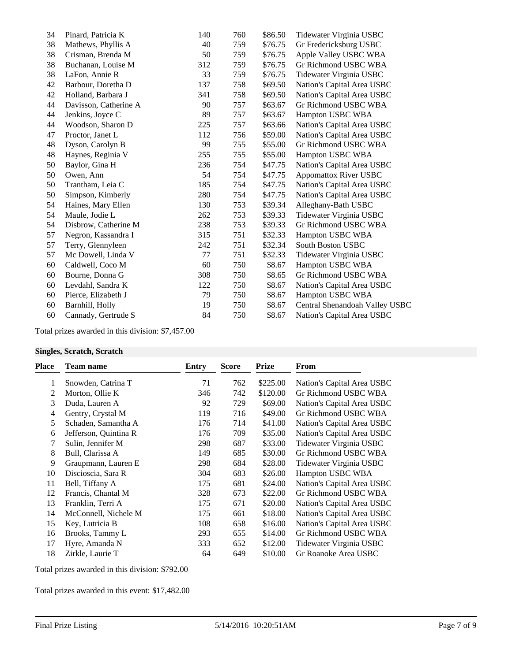| 34 | Pinard, Patricia K    | 140 | 760 | \$86.50 | Tidewater Virginia USBC        |
|----|-----------------------|-----|-----|---------|--------------------------------|
| 38 | Mathews, Phyllis A    | 40  | 759 | \$76.75 | Gr Fredericksburg USBC         |
| 38 | Crisman, Brenda M     | 50  | 759 | \$76.75 | Apple Valley USBC WBA          |
| 38 | Buchanan, Louise M    | 312 | 759 | \$76.75 | Gr Richmond USBC WBA           |
| 38 | LaFon, Annie R        | 33  | 759 | \$76.75 | Tidewater Virginia USBC        |
| 42 | Barbour, Doretha D    | 137 | 758 | \$69.50 | Nation's Capital Area USBC     |
| 42 | Holland, Barbara J    | 341 | 758 | \$69.50 | Nation's Capital Area USBC     |
| 44 | Davisson, Catherine A | 90  | 757 | \$63.67 | Gr Richmond USBC WBA           |
| 44 | Jenkins, Joyce C      | 89  | 757 | \$63.67 | Hampton USBC WBA               |
| 44 | Woodson, Sharon D     | 225 | 757 | \$63.66 | Nation's Capital Area USBC     |
| 47 | Proctor, Janet L      | 112 | 756 | \$59.00 | Nation's Capital Area USBC     |
| 48 | Dyson, Carolyn B      | 99  | 755 | \$55.00 | Gr Richmond USBC WBA           |
| 48 | Haynes, Reginia V     | 255 | 755 | \$55.00 | Hampton USBC WBA               |
| 50 | Baylor, Gina H        | 236 | 754 | \$47.75 | Nation's Capital Area USBC     |
| 50 | Owen, Ann             | 54  | 754 | \$47.75 | <b>Appomattox River USBC</b>   |
| 50 | Trantham, Leia C      | 185 | 754 | \$47.75 | Nation's Capital Area USBC     |
| 50 | Simpson, Kimberly     | 280 | 754 | \$47.75 | Nation's Capital Area USBC     |
| 54 | Haines, Mary Ellen    | 130 | 753 | \$39.34 | Alleghany-Bath USBC            |
| 54 | Maule, Jodie L        | 262 | 753 | \$39.33 | Tidewater Virginia USBC        |
| 54 | Disbrow, Catherine M  | 238 | 753 | \$39.33 | Gr Richmond USBC WBA           |
| 57 | Negron, Kassandra I   | 315 | 751 | \$32.33 | Hampton USBC WBA               |
| 57 | Terry, Glennyleen     | 242 | 751 | \$32.34 | <b>South Boston USBC</b>       |
| 57 | Mc Dowell, Linda V    | 77  | 751 | \$32.33 | Tidewater Virginia USBC        |
| 60 | Caldwell, Coco M      | 60  | 750 | \$8.67  | Hampton USBC WBA               |
| 60 | Bourne, Donna G       | 308 | 750 | \$8.65  | Gr Richmond USBC WBA           |
| 60 | Levdahl, Sandra K     | 122 | 750 | \$8.67  | Nation's Capital Area USBC     |
| 60 | Pierce, Elizabeth J   | 79  | 750 | \$8.67  | Hampton USBC WBA               |
| 60 | Barnhill, Holly       | 19  | 750 | \$8.67  | Central Shenandoah Valley USBC |
| 60 | Cannady, Gertrude S   | 84  | 750 | \$8.67  | Nation's Capital Area USBC     |
|    |                       |     |     |         |                                |

Total prizes awarded in this division: \$7,457.00

#### **Singles, Scratch, Scratch**

| Place | <b>Team name</b>      | <b>Entry</b> | <b>Score</b> | <b>Prize</b> | From                       |
|-------|-----------------------|--------------|--------------|--------------|----------------------------|
| 1     | Snowden, Catrina T    | 71           | 762          | \$225.00     | Nation's Capital Area USBC |
| 2     | Morton, Ollie K       | 346          | 742          | \$120.00     | Gr Richmond USBC WBA       |
| 3     | Duda, Lauren A        | 92           | 729          | \$69.00      | Nation's Capital Area USBC |
| 4     | Gentry, Crystal M     | 119          | 716          | \$49.00      | Gr Richmond USBC WBA       |
| 5     | Schaden, Samantha A   | 176          | 714          | \$41.00      | Nation's Capital Area USBC |
| 6     | Jefferson, Quintina R | 176          | 709          | \$35.00      | Nation's Capital Area USBC |
|       | Sulin, Jennifer M     | 298          | 687          | \$33.00      | Tidewater Virginia USBC    |
| 8     | Bull, Clarissa A      | 149          | 685          | \$30.00      | Gr Richmond USBC WBA       |
| 9     | Graupmann, Lauren E   | 298          | 684          | \$28.00      | Tidewater Virginia USBC    |
| 10    | Discioscia, Sara R    | 304          | 683          | \$26.00      | Hampton USBC WBA           |
| 11    | Bell, Tiffany A       | 175          | 681          | \$24.00      | Nation's Capital Area USBC |
| 12    | Francis, Chantal M    | 328          | 673          | \$22.00      | Gr Richmond USBC WBA       |
| 13    | Franklin, Terri A     | 175          | 671          | \$20.00      | Nation's Capital Area USBC |
| 14    | McConnell, Nichele M  | 175          | 661          | \$18.00      | Nation's Capital Area USBC |
| 15    | Key, Lutricia B       | 108          | 658          | \$16.00      | Nation's Capital Area USBC |
| 16    | Brooks, Tammy L       | 293          | 655          | \$14.00      | Gr Richmond USBC WBA       |
| 17    | Hyre, Amanda N        | 333          | 652          | \$12.00      | Tidewater Virginia USBC    |
| 18    | Zirkle, Laurie T      | 64           | 649          | \$10.00      | Gr Roanoke Area USBC       |

Total prizes awarded in this division: \$792.00

Total prizes awarded in this event: \$17,482.00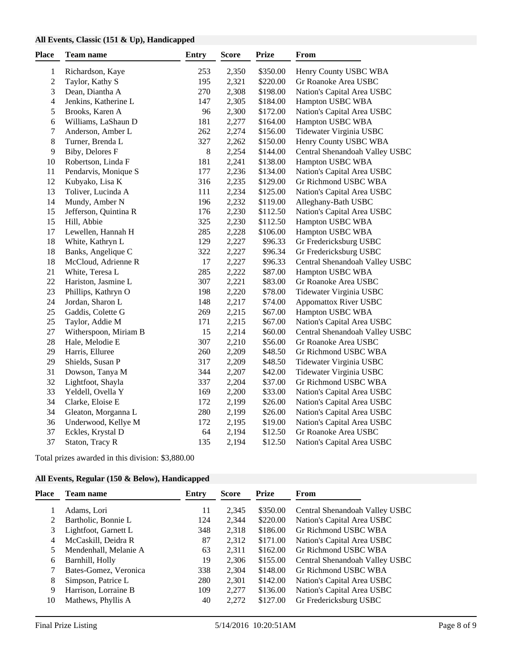#### **All Events, Classic (151 & Up), Handicapped**

| Place            | <b>Team name</b>      | <b>Entry</b> | <b>Score</b> | <b>Prize</b> | From                           |
|------------------|-----------------------|--------------|--------------|--------------|--------------------------------|
| $\mathbf{1}$     | Richardson, Kaye      | 253          | 2,350        | \$350.00     | Henry County USBC WBA          |
| $\sqrt{2}$       | Taylor, Kathy S       | 195          | 2,321        | \$220.00     | Gr Roanoke Area USBC           |
| 3                | Dean, Diantha A       | 270          | 2,308        | \$198.00     | Nation's Capital Area USBC     |
| $\overline{4}$   | Jenkins, Katherine L  | 147          | 2,305        | \$184.00     | Hampton USBC WBA               |
| 5                | Brooks, Karen A       | 96           | 2,300        | \$172.00     | Nation's Capital Area USBC     |
| 6                | Williams, LaShaun D   | 181          | 2,277        | \$164.00     | Hampton USBC WBA               |
| $\boldsymbol{7}$ | Anderson, Amber L     | 262          | 2,274        | \$156.00     | Tidewater Virginia USBC        |
| 8                | Turner, Brenda L      | 327          | 2,262        | \$150.00     | Henry County USBC WBA          |
| 9                | Biby, Delores F       | $8\,$        | 2,254        | \$144.00     | Central Shenandoah Valley USBC |
| 10               | Robertson, Linda F    | 181          | 2,241        | \$138.00     | Hampton USBC WBA               |
| 11               | Pendarvis, Monique S  | 177          | 2,236        | \$134.00     | Nation's Capital Area USBC     |
| 12               | Kubyako, Lisa K       | 316          | 2,235        | \$129.00     | Gr Richmond USBC WBA           |
| 13               | Toliver, Lucinda A    | 111          | 2,234        | \$125.00     | Nation's Capital Area USBC     |
| 14               | Mundy, Amber N        | 196          | 2,232        | \$119.00     | Alleghany-Bath USBC            |
| 15               | Jefferson, Quintina R | 176          | 2,230        | \$112.50     | Nation's Capital Area USBC     |
| 15               | Hill, Abbie           | 325          | 2,230        | \$112.50     | Hampton USBC WBA               |
| 17               | Lewellen, Hannah H    | 285          | 2,228        | \$106.00     | Hampton USBC WBA               |
| 18               | White, Kathryn L      | 129          | 2,227        | \$96.33      | Gr Fredericksburg USBC         |
| 18               | Banks, Angelique C    | 322          | 2,227        | \$96.34      | Gr Fredericksburg USBC         |
| 18               | McCloud, Adrienne R   | 17           | 2,227        | \$96.33      | Central Shenandoah Valley USBC |
| 21               | White, Teresa L       | 285          | 2,222        | \$87.00      | Hampton USBC WBA               |
| 22               | Hariston, Jasmine L   | 307          | 2,221        | \$83.00      | Gr Roanoke Area USBC           |
| 23               | Phillips, Kathryn O   | 198          | 2,220        | \$78.00      | Tidewater Virginia USBC        |
| 24               | Jordan, Sharon L      | 148          | 2,217        | \$74.00      | <b>Appomattox River USBC</b>   |
| 25               | Gaddis, Colette G     | 269          | 2,215        | \$67.00      | Hampton USBC WBA               |
| 25               | Taylor, Addie M       | 171          | 2,215        | \$67.00      | Nation's Capital Area USBC     |
| 27               | Witherspoon, Miriam B | 15           | 2,214        | \$60.00      | Central Shenandoah Valley USBC |
| 28               | Hale, Melodie E       | 307          | 2,210        | \$56.00      | Gr Roanoke Area USBC           |
| 29               | Harris, Elluree       | 260          | 2,209        | \$48.50      | Gr Richmond USBC WBA           |
| 29               | Shields, Susan P      | 317          | 2,209        | \$48.50      | Tidewater Virginia USBC        |
| 31               | Dowson, Tanya M       | 344          | 2,207        | \$42.00      | Tidewater Virginia USBC        |
| 32               | Lightfoot, Shayla     | 337          | 2,204        | \$37.00      | Gr Richmond USBC WBA           |
| 33               | Yeldell, Ovella Y     | 169          | 2,200        | \$33.00      | Nation's Capital Area USBC     |
| 34               | Clarke, Eloise E      | 172          | 2,199        | \$26.00      | Nation's Capital Area USBC     |
| 34               | Gleaton, Morganna L   | 280          | 2,199        | \$26.00      | Nation's Capital Area USBC     |
| 36               | Underwood, Kellye M   | 172          | 2,195        | \$19.00      | Nation's Capital Area USBC     |
| 37               | Eckles, Krystal D     | 64           | 2,194        | \$12.50      | Gr Roanoke Area USBC           |
| 37               | Staton, Tracy R       | 135          | 2,194        | \$12.50      | Nation's Capital Area USBC     |

Total prizes awarded in this division: \$3,880.00

# **All Events, Regular (150 & Below), Handicapped**

| Place | <b>Team name</b>      | Entry | <b>Score</b> | <b>Prize</b> | From                           |
|-------|-----------------------|-------|--------------|--------------|--------------------------------|
|       | Adams, Lori           | 11    | 2,345        | \$350.00     | Central Shenandoah Valley USBC |
|       | Bartholic, Bonnie L   | 124   | 2,344        | \$220.00     | Nation's Capital Area USBC     |
| 3     | Lightfoot, Garnett L  | 348   | 2,318        | \$186.00     | Gr Richmond USBC WBA           |
| 4     | McCaskill, Deidra R   | 87    | 2,312        | \$171.00     | Nation's Capital Area USBC     |
|       | Mendenhall, Melanie A | 63    | 2,311        | \$162.00     | Gr Richmond USBC WBA           |
| 6     | Barnhill, Holly       | 19    | 2,306        | \$155.00     | Central Shenandoah Valley USBC |
|       | Bates-Gomez, Veronica | 338   | 2,304        | \$148.00     | Gr Richmond USBC WBA           |
| 8     | Simpson, Patrice L    | 280   | 2,301        | \$142.00     | Nation's Capital Area USBC     |
| 9     | Harrison, Lorraine B  | 109   | 2,277        | \$136.00     | Nation's Capital Area USBC     |
| 10    | Mathews, Phyllis A    | 40    | 2,272        | \$127.00     | Gr Fredericksburg USBC         |